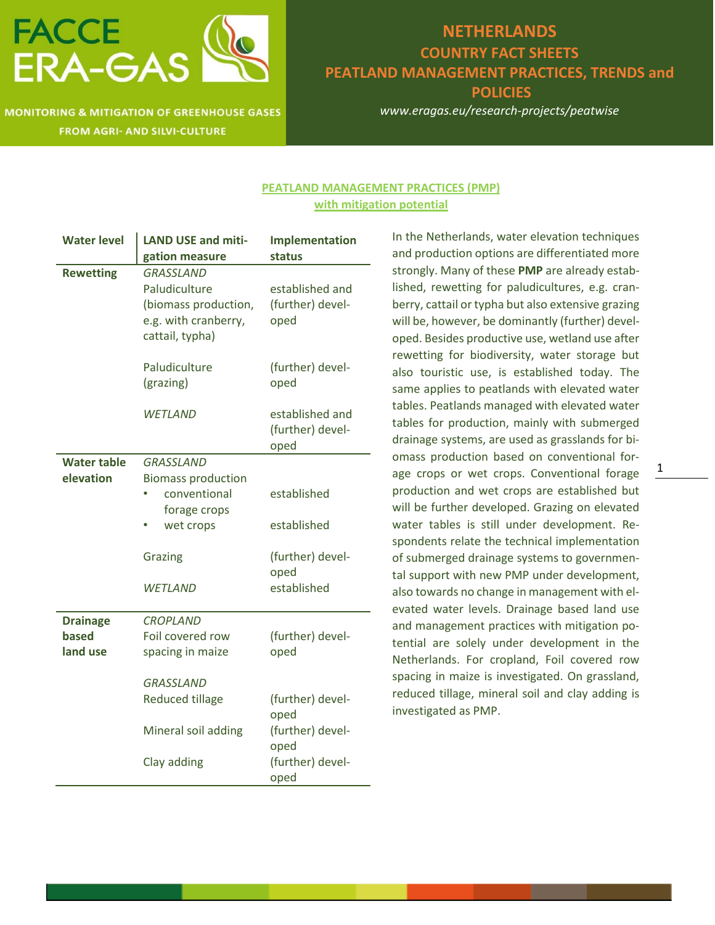

#### **NETHERLANDS COUNTRY FACT SHEETS PEATLAND MANAGEMENT PRACTICES, TRENDS and POLICIES**

*www.eragas.eu/research-projects/peatwise*

#### **PEATLAND MANAGEMENT PRACTICES (PMP) with mitigation potential**

| <b>Water level</b>                   | <b>LAND USE and miti-</b><br>gation measure                                                                                          | Implementation<br>status                                                                                     |
|--------------------------------------|--------------------------------------------------------------------------------------------------------------------------------------|--------------------------------------------------------------------------------------------------------------|
| <b>Rewetting</b>                     | <b>GRASSLAND</b><br>Paludiculture<br>(biomass production,<br>e.g. with cranberry,<br>cattail, typha)                                 | established and<br>(further) devel-<br>oped                                                                  |
|                                      | Paludiculture<br>(grazing)                                                                                                           | (further) devel-<br>oped                                                                                     |
|                                      | WETLAND                                                                                                                              | established and<br>(further) devel-<br>oped                                                                  |
| <b>Water table</b><br>elevation      | <b>GRASSLAND</b><br><b>Biomass production</b><br>conventional<br>forage crops<br>wet crops<br>Grazing<br>WETLAND                     | established<br>established<br>(further) devel-<br>oped<br>established                                        |
| <b>Drainage</b><br>based<br>land use | <b>CROPLAND</b><br>Foil covered row<br>spacing in maize<br>GRASSLAND<br><b>Reduced tillage</b><br>Mineral soil adding<br>Clay adding | (further) devel-<br>oped<br>(further) devel-<br>oped<br>(further) devel-<br>oped<br>(further) devel-<br>oped |

In the Netherlands, water elevation techniques and production options are differentiated more strongly. Many of these **PMP** are already established, rewetting for paludicultures, e.g. cranberry, cattail or typha but also extensive grazing will be, however, be dominantly (further) developed. Besides productive use, wetland use after rewetting for biodiversity, water storage but also touristic use, is established today. The same applies to peatlands with elevated water tables. Peatlands managed with elevated water tables for production, mainly with submerged drainage systems, are used as grasslands for biomass production based on conventional forage crops or wet crops. Conventional forage production and wet crops are established but will be further developed. Grazing on elevated water tables is still under development. Respondents relate the technical implementation of submerged drainage systems to governmental support with new PMP under development, also towards no change in management with elevated water levels. Drainage based land use and management practices with mitigation potential are solely under development in the Netherlands. For cropland, Foil covered row spacing in maize is investigated. On grassland, reduced tillage, mineral soil and clay adding is investigated as PMP.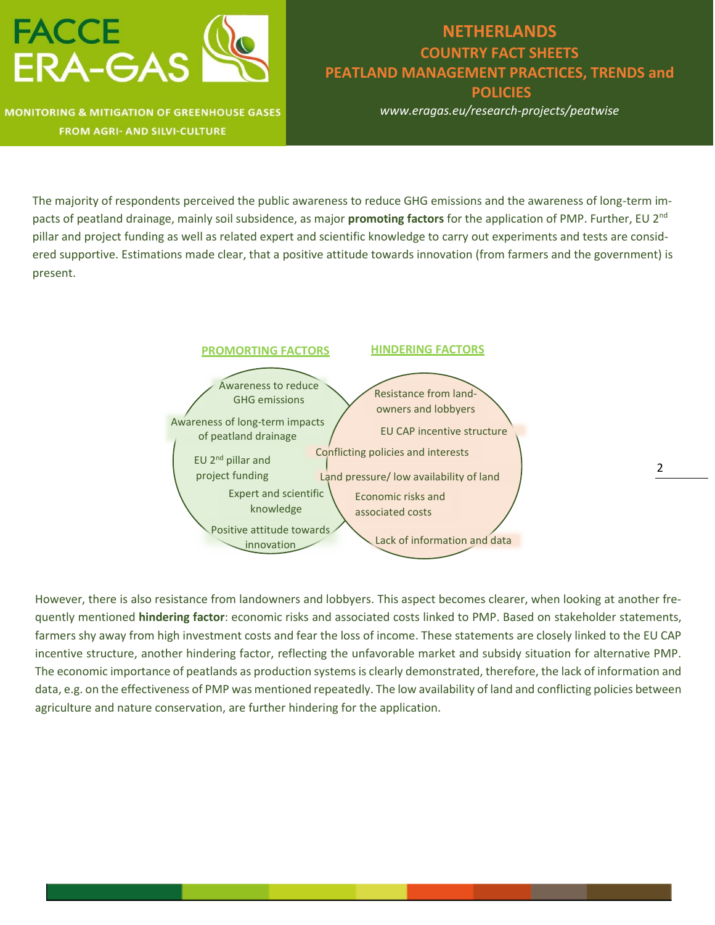

# **NETHERLANDS COUNTRY FACT SHEETS PEATLAND MANAGEMENT PRACTICES, TRENDS and POLICIES**

*www.eragas.eu/research-projects/peatwise*

The majority of respondents perceived the public awareness to reduce GHG emissions and the awareness of long-term impacts of peatland drainage, mainly soil subsidence, as major **promoting factors** for the application of PMP. Further, EU 2nd pillar and project funding as well as related expert and scientific knowledge to carry out experiments and tests are considered supportive. Estimations made clear, that a positive attitude towards innovation (from farmers and the government) is present.



However, there is also resistance from landowners and lobbyers. This aspect becomes clearer, when looking at another frequently mentioned **hindering factor**: economic risks and associated costs linked to PMP. Based on stakeholder statements, farmers shy away from high investment costs and fear the loss of income. These statements are closely linked to the EU CAP incentive structure, another hindering factor, reflecting the unfavorable market and subsidy situation for alternative PMP. The economic importance of peatlands as production systems is clearly demonstrated, therefore, the lack of information and data, e.g. on the effectiveness of PMP was mentioned repeatedly. The low availability of land and conflicting policies between agriculture and nature conservation, are further hindering for the application.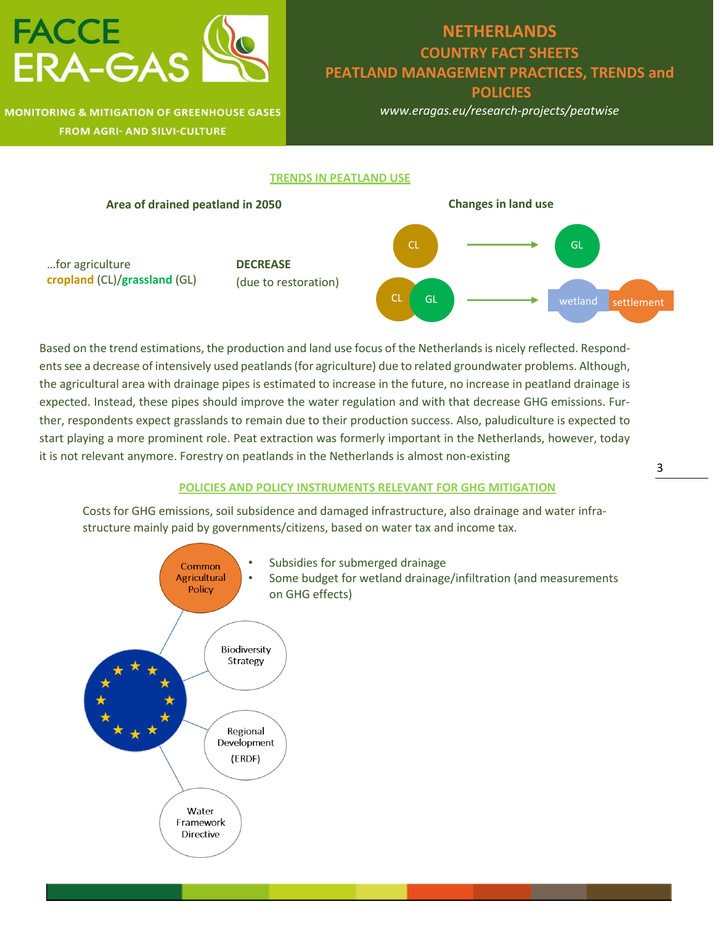

## **NETHERLANDS COUNTRY FACT SHEETS PEATLAND MANAGEMENT PRACTICES, TRENDS and POLICIES**

*www.eragas.eu/research-projects/peatwise*

#### **TRENDS IN PEATLAND USE**



Based on the trend estimations, the production and land use focus of the Netherlands is nicely reflected. Respondentssee a decrease of intensively used peatlands (for agriculture) due to related groundwater problems. Although, the agricultural area with drainage pipes is estimated to increase in the future, no increase in peatland drainage is expected. Instead, these pipes should improve the water regulation and with that decrease GHG emissions. Further, respondents expect grasslands to remain due to their production success. Also, paludiculture is expected to start playing a more prominent role. Peat extraction was formerly important in the Netherlands, however, today it is not relevant anymore. Forestry on peatlands in the Netherlands is almost non-existing

#### **POLICIES AND POLICY INSTRUMENTS RELEVANT FOR GHG MITIGATION**

Costs for GHG emissions, soil subsidence and damaged infrastructure, also drainage and water infrastructure mainly paid by governments/citizens, based on water tax and income tax.